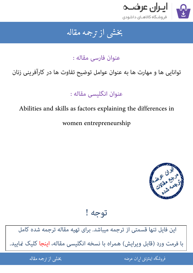

### جمه مقاله شی از تر بخشی از :

عنوان فارسی مقاله :

# توانایی ها و مهارت ها به عنوان عوامل توضیح تفاوت ها در کارآفرینی زنان

عنوان انگلیسی مقاله :

## Abilities and skills as factors explaining the differences in

women entrepreneurship



توجه !

[این فایل تنها قسمتی از ترجمه میباشد. برای تهیه مقاله ترجمه شده کامل](http://iranarze.ir/abilities+skills+factors+explaining+women+entrepreneurship)  با فرمت ورد (قابل ویرایش) همراه با نسخه انگلیسی مقاله، اینجا کلیک مَایید.

> ֦֘ ه اينترنتي ايران عرضه مستخدم استخدام المستخدم المستخدم المستخدم المستخدم المستخدم المستخدم المستخدم المستخدم ا ֧֚֚֚֚֚֚֚֚֚֚֚֚֚֚֚֚֚֚֚֚֚֚֬֡֡֡֡֡֡֓֡֡֡֡֬֝֝֓֡֡֬

شی از ترجمه <mark>مقا</mark>له